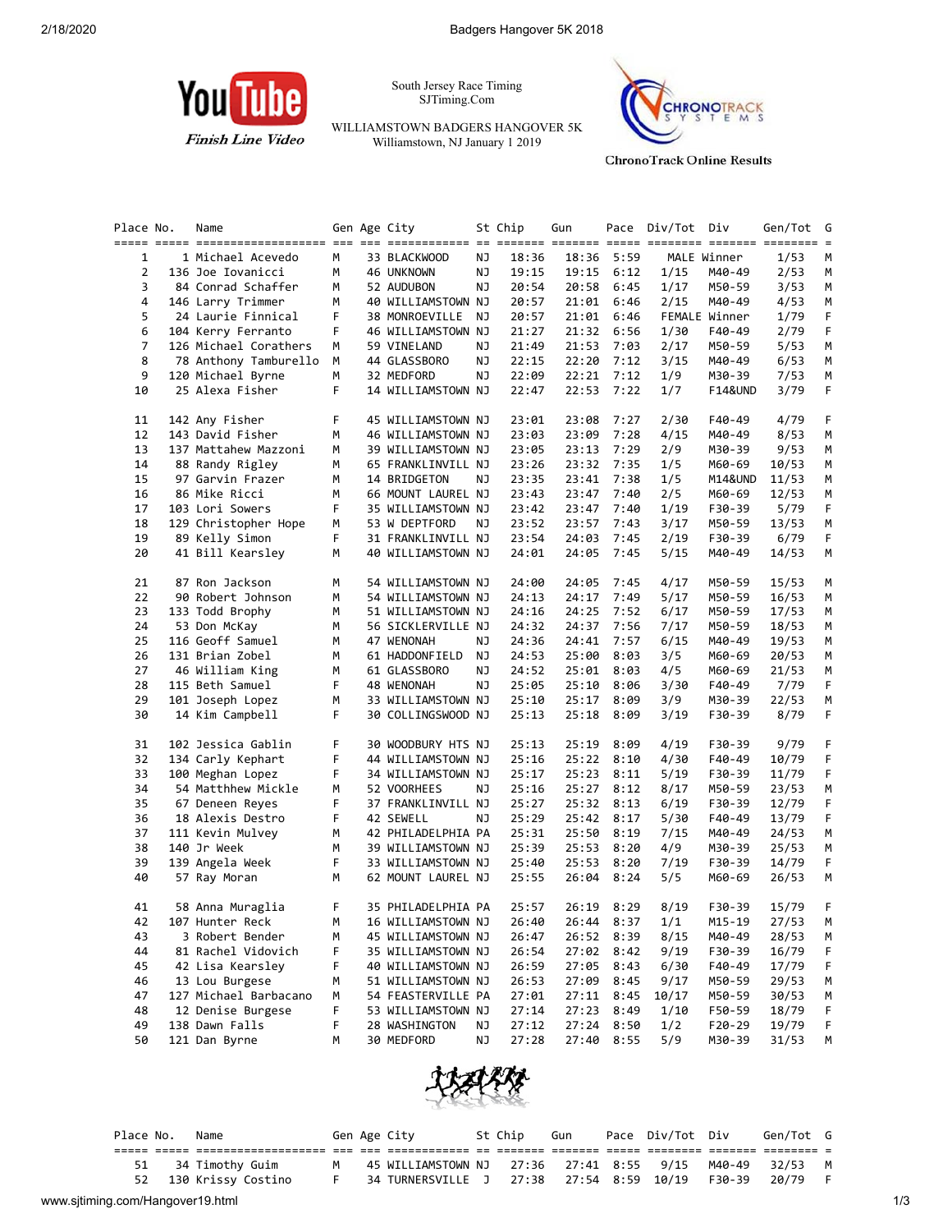

South Jersey Race Timing SJTiming.Com

WILLIAMSTOWN BADGERS HANGOVER 5K Williamstown, NJ January 1 2019



**ChronoTrack Online Results** 

| Place No.    | Name                  |   | Gen Age City       |    | St Chip | Gun        |      | Pace Div/Tot Div |               | Gen/Tot G | $=$ |
|--------------|-----------------------|---|--------------------|----|---------|------------|------|------------------|---------------|-----------|-----|
| $\mathbf{1}$ | 1 Michael Acevedo     | M | 33 BLACKWOOD       | NJ | 18:36   | 18:36      | 5:59 |                  | MALE Winner   | 1/53      | М   |
| 2            | 136 Joe Iovanicci     | М | 46 UNKNOWN         | ΝJ | 19:15   | 19:15      | 6:12 | 1/15             | M40-49        | 2/53      | М   |
| 3            | 84 Conrad Schaffer    | М | 52 AUDUBON         | ΝJ | 20:54   | 20:58      | 6:45 | 1/17             | M50-59        | 3/53      | М   |
| 4            | 146 Larry Trimmer     | м | 40 WILLIAMSTOWN NJ |    | 20:57   | 21:01      | 6:46 | 2/15             | M40-49        | 4/53      | М   |
| 5            | 24 Laurie Finnical    | F | 38 MONROEVILLE     | NJ | 20:57   | 21:01      | 6:46 |                  | FEMALE Winner | 1/79      | F   |
| 6            | 104 Kerry Ferranto    | F | 46 WILLIAMSTOWN NJ |    | 21:27   | 21:32      | 6:56 | 1/30             | F40-49        | 2/79      | F   |
| 7            | 126 Michael Corathers | М | 59 VINELAND        | ΝJ | 21:49   | 21:53      | 7:03 | 2/17             | M50-59        | 5/53      | М   |
| 8            | 78 Anthony Tamburello | М | 44 GLASSBORO       | ΝJ | 22:15   | 22:20      | 7:12 | 3/15             | M40-49        | 6/53      | M   |
| 9            | 120 Michael Byrne     | М | 32 MEDFORD         | ΝJ | 22:09   | 22:21      | 7:12 | 1/9              | M30-39        | 7/53      | М   |
| 10           | 25 Alexa Fisher       | F | 14 WILLIAMSTOWN NJ |    | 22:47   | 22:53      | 7:22 | 1/7              | F14&UND       | 3/79      | F   |
| 11           | 142 Any Fisher        | F | 45 WILLIAMSTOWN NJ |    | 23:01   | 23:08      | 7:27 | 2/30             | F40-49        | 4/79      | F.  |
| 12           | 143 David Fisher      | М | 46 WILLIAMSTOWN NJ |    | 23:03   | 23:09      | 7:28 | 4/15             | M40-49        | 8/53      | М   |
| 13           | 137 Mattahew Mazzoni  | м | 39 WILLIAMSTOWN NJ |    | 23:05   | 23:13      | 7:29 | 2/9              | M30-39        | 9/53      | M   |
| 14           | 88 Randy Rigley       | М | 65 FRANKLINVILL NJ |    | 23:26   | 23:32      | 7:35 | 1/5              | M60-69        | 10/53     | М   |
| 15           | 97 Garvin Frazer      | м | 14 BRIDGETON       | ΝJ | 23:35   | 23:41      | 7:38 | 1/5              | M14&UND       | 11/53     | М   |
| 16           | 86 Mike Ricci         | м | 66 MOUNT LAUREL NJ |    | 23:43   | 23:47      | 7:40 | 2/5              | M60-69        | 12/53     | M   |
| 17           | 103 Lori Sowers       | F | 35 WILLIAMSTOWN NJ |    | 23:42   | 23:47      | 7:40 | 1/19             | F30-39        | 5/79      | F.  |
| 18           | 129 Christopher Hope  | м | 53 W DEPTFORD      | ΝJ | 23:52   | 23:57      | 7:43 | 3/17             | M50-59        | 13/53     | М   |
| 19           | 89 Kelly Simon        | F | 31 FRANKLINVILL NJ |    | 23:54   | 24:03      | 7:45 | 2/19             | F30-39        | 6/79      | F   |
| 20           | 41 Bill Kearsley      | М | 40 WILLIAMSTOWN NJ |    | 24:01   | 24:05      | 7:45 | 5/15             | M40-49        | 14/53     | М   |
| 21           | 87 Ron Jackson        | М | 54 WILLIAMSTOWN NJ |    | 24:00   | 24:05      | 7:45 | 4/17             | M50-59        | 15/53     | M   |
| 22           | 90 Robert Johnson     | м | 54 WILLIAMSTOWN NJ |    | 24:13   | 24:17      | 7:49 | 5/17             | M50-59        | 16/53     | М   |
| 23           | 133 Todd Brophy       | м | 51 WILLIAMSTOWN NJ |    | 24:16   | 24:25      | 7:52 | 6/17             | M50-59        | 17/53     | M   |
| 24           | 53 Don McKay          | м | 56 SICKLERVILLE NJ |    | 24:32   | 24:37      | 7:56 | 7/17             | M50-59        | 18/53     | M   |
| 25           | 116 Geoff Samuel      | М | 47 WENONAH         | ΝJ | 24:36   | 24:41      | 7:57 | 6/15             | M40-49        | 19/53     | М   |
| 26           | 131 Brian Zobel       | м | 61 HADDONFIELD     | ΝJ | 24:53   | 25:00      | 8:03 | 3/5              | M60-69        | 20/53     | М   |
| 27           | 46 William King       | М | 61 GLASSBORO       | ΝJ | 24:52   | 25:01      | 8:03 | 4/5              | M60-69        | 21/53     | M   |
| 28           | 115 Beth Samuel       | F | 48 WENONAH         | NJ | 25:05   | 25:10      | 8:06 | 3/30             | F40-49        | 7/79      | F.  |
| 29           | 101 Joseph Lopez      | м | 33 WILLIAMSTOWN NJ |    | 25:10   | 25:17      | 8:09 | 3/9              | M30-39        | 22/53     | М   |
| 30           | 14 Kim Campbell       | F | 30 COLLINGSWOOD NJ |    | 25:13   | 25:18      | 8:09 | 3/19             | F30-39        | 8/79      | F.  |
| 31           | 102 Jessica Gablin    | F | 30 WOODBURY HTS NJ |    | 25:13   | 25:19      | 8:09 | 4/19             | F30-39        | 9/79      | F   |
| 32           | 134 Carly Kephart     | F | 44 WILLIAMSTOWN NJ |    | 25:16   | 25:22      | 8:10 | 4/30             | F40-49        | 10/79     | F   |
| 33           | 100 Meghan Lopez      | F | 34 WILLIAMSTOWN NJ |    | 25:17   | 25:23      | 8:11 | 5/19             | F30-39        | 11/79     | F.  |
| 34           | 54 Matthhew Mickle    | м | 52 VOORHEES        | NJ | 25:16   | 25:27      | 8:12 | 8/17             | M50-59        | 23/53     | М   |
| 35           | 67 Deneen Reyes       | F | 37 FRANKLINVILL NJ |    | 25:27   | 25:32      | 8:13 | 6/19             | F30-39        | 12/79     | F   |
| 36           | 18 Alexis Destro      | F | 42 SEWELL          | ΝJ | 25:29   | 25:42      | 8:17 | 5/30             | F40-49        | 13/79     | F   |
| 37           | 111 Kevin Mulvey      | м | 42 PHILADELPHIA PA |    | 25:31   | 25:50      | 8:19 | 7/15             | M40-49        | 24/53     | М   |
| 38           | 140 Jr Week           | М | 39 WILLIAMSTOWN NJ |    | 25:39   | 25:53      | 8:20 | 4/9              | M30-39        | 25/53     | M   |
| 39           | 139 Angela Week       | F | 33 WILLIAMSTOWN NJ |    | 25:40   | 25:53      | 8:20 | 7/19             | F30-39        | 14/79     | F.  |
| 40           | 57 Ray Moran          | м | 62 MOUNT LAUREL NJ |    | 25:55   | 26:04      | 8:24 | 5/5              | M60-69        | 26/53     | М   |
| 41           | 58 Anna Muraglia      | F | 35 PHILADELPHIA PA |    | 25:57   | 26:19      | 8:29 | 8/19             | F30-39        | 15/79     | F   |
| 42           | 107 Hunter Reck       | М | 16 WILLIAMSTOWN NJ |    | 26:40   | 26:44 8:37 |      | 1/1              | $M15 - 19$    | 27/53     | М   |
| 43           | 3 Robert Bender       | м | 45 WILLIAMSTOWN NJ |    | 26:47   | 26:52      | 8:39 | 8/15             | M40-49        | 28/53     | M   |
| 44           | 81 Rachel Vidovich    | F | 35 WILLIAMSTOWN NJ |    | 26:54   | 27:02      | 8:42 | 9/19             | F30-39        | 16/79     | F   |
| 45           | 42 Lisa Kearsley      | F | 40 WILLIAMSTOWN NJ |    | 26:59   | 27:05      | 8:43 | 6/30             | F40-49        | 17/79     | F   |
| 46           | 13 Lou Burgese        | М | 51 WILLIAMSTOWN NJ |    | 26:53   | 27:09      | 8:45 | 9/17             | M50-59        | 29/53     | M   |
| 47           | 127 Michael Barbacano | м | 54 FEASTERVILLE PA |    | 27:01   | 27:11      | 8:45 | 10/17            | M50-59        | 30/53     | M   |
| 48           | 12 Denise Burgese     | F | 53 WILLIAMSTOWN NJ |    | 27:14   | 27:23      | 8:49 | 1/10             | F50-59        | 18/79     | F   |
| 49           | 138 Dawn Falls        | F | 28 WASHINGTON      | ΝJ | 27:12   | 27:24      | 8:50 | 1/2              | F20-29        | 19/79     | F   |
| 50           | 121 Dan Byrne         | м | 30 MEDFORD         | ΝJ | 27:28   | 27:40      | 8:55 | 5/9              | M30-39        | 31/53     | М   |



|                                  | Place No. | Name               |   | Gen Age City                                    | St Chip | Gun | Pace Div/Tot Div |        | Gen/Tot G |     |
|----------------------------------|-----------|--------------------|---|-------------------------------------------------|---------|-----|------------------|--------|-----------|-----|
|                                  |           |                    |   |                                                 |         |     |                  |        |           |     |
|                                  | 51        | 34 Timothy Guim    | M | 45 WILLIAMSTOWN NJ 27:36 27:41 8:55 9/15 M40-49 |         |     |                  |        | 32/53 M   |     |
|                                  | 52        | 130 Krissy Costino |   | F 34 TURNERSVILLE J 27:38 27:54 8:59 10/19      |         |     |                  | F30-39 | 20/79     |     |
| www.sjtiming.com/Hangover19.html |           |                    |   |                                                 |         |     |                  |        |           | 1/3 |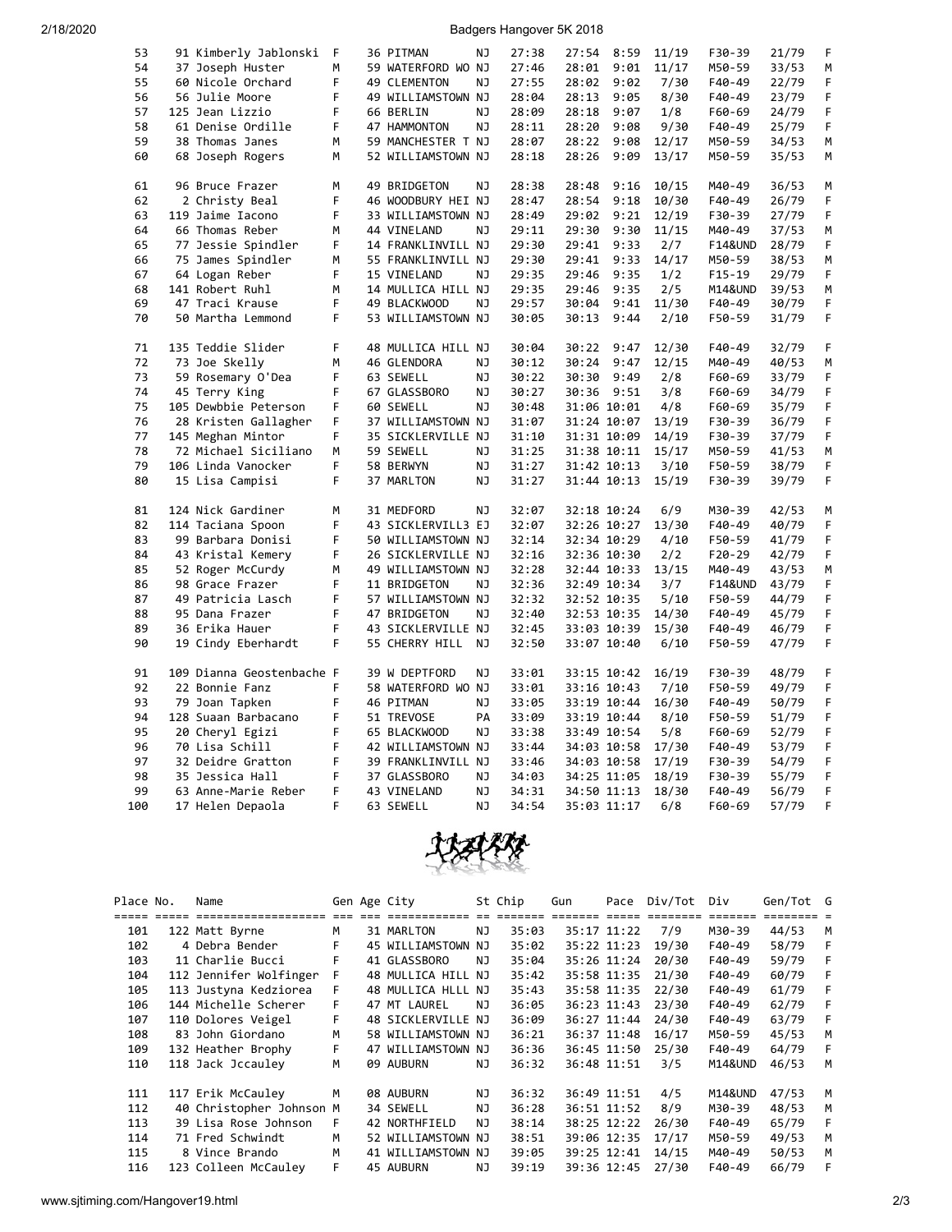2/18/2020 Badgers Hangover 5K 2018

| 53  | 91 Kimberly Jablonski              | F | 36 PITMAN                         | NJ        | 27:38          | 27:54          | 8:59 | 11/19          | F30-39             | 21/79          | F  |
|-----|------------------------------------|---|-----------------------------------|-----------|----------------|----------------|------|----------------|--------------------|----------------|----|
| 54  | 37 Joseph Huster                   | М | 59 WATERFORD WO NJ                |           | 27:46          | 28:01          | 9:01 | 11/17          | M50-59             | 33/53          | M  |
| 55  | 60 Nicole Orchard                  | F | 49 CLEMENTON                      | NJ        | 27:55          | 28:02          | 9:02 | 7/30           | F40-49             | 22/79          | F  |
| 56  | 56 Julie Moore                     | F | 49 WILLIAMSTOWN NJ                |           | 28:04          | 28:13          | 9:05 | 8/30           | F40-49             | 23/79          | F  |
| 57  | 125 Jean Lizzio                    | F | 66 BERLIN                         | NJ        | 28:09          | 28:18          | 9:07 | 1/8            | F60-69             | 24/79          | F  |
| 58  | 61 Denise Ordille                  | F | 47 HAMMONTON                      | NJ        | 28:11          | 28:20          | 9:08 | 9/30           | F40-49             | 25/79          | F  |
| 59  | 38 Thomas Janes                    | М | 59 MANCHESTER T NJ                |           | 28:07          | 28:22          | 9:08 | 12/17          | M50-59             | 34/53          | М  |
| 60  | 68 Joseph Rogers                   | M | 52 WILLIAMSTOWN NJ                |           | 28:18          | 28:26          | 9:09 | 13/17          | M50-59             | 35/53          | M  |
|     |                                    |   |                                   |           |                |                |      |                |                    |                |    |
| 61  | 96 Bruce Frazer                    | M | 49 BRIDGETON                      | ΝJ        | 28:38          | 28:48          | 9:16 | 10/15          | M40-49             | 36/53          | М  |
| 62  | 2 Christy Beal                     | F | 46 WOODBURY HEI NJ                |           | 28:47          | 28:54          | 9:18 | 10/30          | F40-49             | 26/79          | F  |
| 63  | 119 Jaime Iacono                   | F | 33 WILLIAMSTOWN NJ                |           | 28:49          | 29:02          | 9:21 | 12/19          | F30-39             | 27/79          | F  |
| 64  | 66 Thomas Reber                    | м | 44 VINELAND                       | ΝJ        | 29:11          | 29:30          | 9:30 | 11/15          | M40-49             | 37/53          | М  |
| 65  | 77 Jessie Spindler                 | F | 14 FRANKLINVILL NJ                |           | 29:30          | 29:41          | 9:33 | 2/7            | <b>F14&amp;UND</b> | 28/79          | F  |
| 66  | 75 James Spindler                  | М | 55 FRANKLINVILL NJ                |           | 29:30          | 29:41          | 9:33 | 14/17          | M50-59             | 38/53          | М  |
| 67  | 64 Logan Reber                     | F | 15 VINELAND                       | NJ        | 29:35          | 29:46          | 9:35 | 1/2            | F15-19             | 29/79          | F. |
| 68  | 141 Robert Ruhl                    | М | 14 MULLICA HILL NJ                |           | 29:35          | 29:46          | 9:35 | 2/5            | M14&UND            | 39/53          | M  |
| 69  | 47 Traci Krause                    | F | 49 BLACKWOOD                      | NJ        | 29:57          | 30:04          | 9:41 | 11/30          | F40-49             | 30/79          | F  |
| 70  | 50 Martha Lemmond                  | F | 53 WILLIAMSTOWN NJ                |           | 30:05          | 30:13          | 9:44 | 2/10           | F50-59             | 31/79          | F  |
| 71  | 135 Teddie Slider                  | F |                                   |           | 30:04          |                | 9:47 |                | F40-49             |                | F  |
| 72  | 73 Joe Skelly                      | M | 48 MULLICA HILL NJ<br>46 GLENDORA | <b>NJ</b> | 30:12          | 30:22<br>30:24 | 9:47 | 12/30<br>12/15 | M40-49             | 32/79<br>40/53 | M  |
| 73  |                                    | F |                                   | NJ        |                |                | 9:49 |                |                    |                | F  |
| 74  | 59 Rosemary O'Dea<br>45 Terry King | F | 63 SEWELL<br>67 GLASSBORO         | NJ        | 30:22<br>30:27 | 30:30<br>30:36 | 9:51 | 2/8            | F60-69<br>F60-69   | 33/79          | F  |
| 75  |                                    | F |                                   | NJ        |                |                |      | 3/8            |                    | 34/79          | F  |
|     | 105 Dewbbie Peterson               | F | 60 SEWELL                         |           | 30:48          | 31:06 10:01    |      | 4/8            | F60-69             | 35/79          | F  |
| 76  | 28 Kristen Gallagher               |   | 37 WILLIAMSTOWN NJ                |           | 31:07          | 31:24 10:07    |      | 13/19          | F30-39             | 36/79          |    |
| 77  | 145 Meghan Mintor                  | F | 35 SICKLERVILLE NJ                |           | 31:10          | 31:31 10:09    |      | 14/19          | F30-39             | 37/79          | F  |
| 78  | 72 Michael Siciliano               | М | 59 SEWELL                         | ΝJ        | 31:25          | 31:38 10:11    |      | 15/17          | M50-59             | 41/53          | М  |
| 79  | 106 Linda Vanocker                 | F | 58 BERWYN                         | ΝJ        | 31:27          | 31:42 10:13    |      | 3/10           | F50-59             | 38/79          | F  |
| 80  | 15 Lisa Campisi                    | F | 37 MARLTON                        | NJ        | 31:27          | 31:44 10:13    |      | 15/19          | F30-39             | 39/79          | F  |
| 81  | 124 Nick Gardiner                  | M | 31 MEDFORD                        | NJ        | 32:07          | 32:18 10:24    |      | 6/9            | M30-39             | 42/53          | M  |
| 82  | 114 Taciana Spoon                  | F | 43 SICKLERVILL3 EJ                |           | 32:07          | 32:26 10:27    |      | 13/30          | F40-49             | 40/79          | F  |
| 83  | 99 Barbara Donisi                  | F | 50 WILLIAMSTOWN NJ                |           | 32:14          | 32:34 10:29    |      | 4/10           | F50-59             | 41/79          | F  |
| 84  | 43 Kristal Kemery                  | F | 26 SICKLERVILLE NJ                |           | 32:16          | 32:36 10:30    |      | 2/2            | F20-29             | 42/79          | F  |
| 85  | 52 Roger McCurdy                   | М | 49 WILLIAMSTOWN NJ                |           | 32:28          | 32:44 10:33    |      | 13/15          | M40-49             | 43/53          | м  |
| 86  | 98 Grace Frazer                    | F | 11 BRIDGETON                      | NJ        | 32:36          | 32:49 10:34    |      | 3/7            | <b>F14&amp;UND</b> | 43/79          | F  |
| 87  | 49 Patricia Lasch                  | F | 57 WILLIAMSTOWN NJ                |           | 32:32          | 32:52 10:35    |      | 5/10           | F50-59             | 44/79          | F  |
| 88  | 95 Dana Frazer                     | F | 47 BRIDGETON                      | NJ        | 32:40          | 32:53 10:35    |      | 14/30          | F40-49             | 45/79          | F  |
| 89  | 36 Erika Hauer                     | F | 43 SICKLERVILLE NJ                |           | 32:45          | 33:03 10:39    |      | 15/30          | F40-49             | 46/79          | F  |
| 90  | 19 Cindy Eberhardt                 | F | 55 CHERRY HILL                    | ΝJ        | 32:50          | 33:07 10:40    |      | 6/10           | F50-59             | 47/79          | F  |
|     |                                    |   |                                   |           |                |                |      |                |                    |                |    |
| 91  | 109 Dianna Geostenbache F          |   | 39 W DEPTFORD                     | <b>NJ</b> | 33:01          | 33:15 10:42    |      | 16/19          | F30-39             | 48/79          | F  |
| 92  | 22 Bonnie Fanz                     | F | 58 WATERFORD WO NJ                |           | 33:01          | 33:16 10:43    |      | 7/10           | F50-59             | 49/79          | F  |
| 93  | 79 Joan Tapken                     | F | 46 PITMAN                         | NJ        | 33:05          | 33:19 10:44    |      | 16/30          | F40-49             | 50/79          | F  |
| 94  | 128 Suaan Barbacano                | F | 51 TREVOSE                        | PA        | 33:09          | 33:19 10:44    |      | 8/10           | F50-59             | 51/79          | F  |
| 95  | 20 Cheryl Egizi                    | F | 65 BLACKWOOD                      | <b>NJ</b> | 33:38          | 33:49 10:54    |      | 5/8            | F60-69             | 52/79          | F  |
| 96  | 70 Lisa Schill                     | F | 42 WILLIAMSTOWN NJ                |           | 33:44          | 34:03 10:58    |      | 17/30          | F40-49             | 53/79          | F  |
| 97  | 32 Deidre Gratton                  | F | 39 FRANKLINVILL NJ                |           | 33:46          | 34:03 10:58    |      | 17/19          | F30-39             | 54/79          | F  |
| 98  | 35 Jessica Hall                    | F | 37 GLASSBORO                      | ΝJ        | 34:03          | 34:25 11:05    |      | 18/19          | F30-39             | 55/79          | F  |
| 99  | 63 Anne-Marie Reber                | F | 43 VINELAND                       | NJ        | 34:31          | 34:50 11:13    |      | 18/30          | F40-49             | 56/79          | F  |
| 100 | 17 Helen Depaola                   | F | 63 SEWELL                         | <b>NJ</b> | 34:54          | 35:03 11:17    |      | 6/8            | F60-69             | 57/79          | F  |



| Place No. | Name                     |         | Gen Age City       |     | St Chip | Gun | Pace        | Div/Tot | Div                | Gen/Tot G |   |
|-----------|--------------------------|---------|--------------------|-----|---------|-----|-------------|---------|--------------------|-----------|---|
|           | =====================    | --- --- | ======             |     |         |     |             |         |                    |           |   |
| 101       | 122 Matt Byrne           | М       | 31 MARLTON         | NJ  | 35:03   |     | 35:17 11:22 | 7/9     | M30-39             | 44/53     | M |
| 102       | 4 Debra Bender           | F       | 45 WILLIAMSTOWN NJ |     | 35:02   |     | 35:22 11:23 | 19/30   | F40-49             | 58/79     | F |
| 103       | 11 Charlie Bucci         | F       | 41 GLASSBORO       | NJ. | 35:04   |     | 35:26 11:24 | 20/30   | F40-49             | 59/79     | F |
| 104       | 112 Jennifer Wolfinger   | F       | 48 MULLICA HILL NJ |     | 35:42   |     | 35:58 11:35 | 21/30   | F40-49             | 60/79     | F |
| 105       | 113 Justyna Kedziorea    | F.      | 48 MULLICA HLLL NJ |     | 35:43   |     | 35:58 11:35 | 22/30   | F40-49             | 61/79     | F |
| 106       | 144 Michelle Scherer     | F.      | 47 MT LAUREL       | ΝJ  | 36:05   |     | 36:23 11:43 | 23/30   | F40-49             | 62/79     | F |
| 107       | 110 Dolores Veigel       | F       | 48 SICKLERVILLE NJ |     | 36:09   |     | 36:27 11:44 | 24/30   | F40-49             | 63/79     | F |
| 108       | 83 John Giordano         | м       | 58 WILLIAMSTOWN NJ |     | 36:21   |     | 36:37 11:48 | 16/17   | M50-59             | 45/53     | M |
| 109       | 132 Heather Brophy       | F       | 47 WILLIAMSTOWN NJ |     | 36:36   |     | 36:45 11:50 | 25/30   | F40-49             | 64/79     | F |
| 110       | 118 Jack Jccauley        | м       | 09 AUBURN          | NJ. | 36:32   |     | 36:48 11:51 | 3/5     | <b>M14&amp;UND</b> | 46/53     | м |
|           |                          |         |                    |     |         |     |             |         |                    |           |   |
| 111       | 117 Erik McCauley        | м       | 08 AUBURN          | ΝJ  | 36:32   |     | 36:49 11:51 | 4/5     | <b>M14&amp;UND</b> | 47/53     | м |
| 112       | 40 Christopher Johnson M |         | 34 SEWELL          | NJ. | 36:28   |     | 36:51 11:52 | 8/9     | M30-39             | 48/53     | M |
| 113       | 39 Lisa Rose Johnson     | F       | 42 NORTHFIELD      | ΝJ  | 38:14   |     | 38:25 12:22 | 26/30   | F40-49             | 65/79     | F |
| 114       | 71 Fred Schwindt         | М       | 52 WILLIAMSTOWN NJ |     | 38:51   |     | 39:06 12:35 | 17/17   | M50-59             | 49/53     | м |
| 115       | 8 Vince Brando           | м       | 41 WILLIAMSTOWN NJ |     | 39:05   |     | 39:25 12:41 | 14/15   | M40-49             | 50/53     | M |
| 116       | 123 Colleen McCauley     | F       | 45 AUBURN          | NJ  | 39:19   |     | 39:36 12:45 | 27/30   | F40-49             | 66/79     | F |